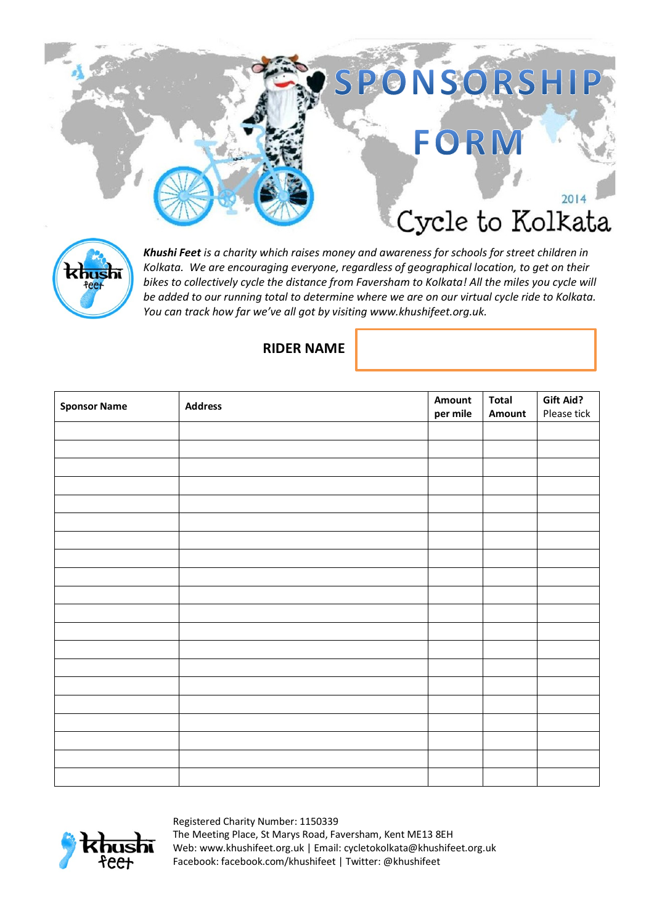



*Khushi Feet is a charity which raises money and awareness for schools for street children in Kolkata. We are encouraging everyone, regardless of geographical location, to get on their bikes to collectively cycle the distance from Faversham to Kolkata! All the miles you cycle will be added to our running total to determine where we are on our virtual cycle ride to Kolkata. You can track how far we've all got by visiting www.khushifeet.org.uk.*

## **RIDER NAME**

| <b>Sponsor Name</b> | <b>Address</b> | Amount   | <b>Total</b> | Gift Aid?   |
|---------------------|----------------|----------|--------------|-------------|
|                     |                | per mile | Amount       | Please tick |
|                     |                |          |              |             |
|                     |                |          |              |             |
|                     |                |          |              |             |
|                     |                |          |              |             |
|                     |                |          |              |             |
|                     |                |          |              |             |
|                     |                |          |              |             |
|                     |                |          |              |             |
|                     |                |          |              |             |
|                     |                |          |              |             |
|                     |                |          |              |             |
|                     |                |          |              |             |
|                     |                |          |              |             |
|                     |                |          |              |             |
|                     |                |          |              |             |
|                     |                |          |              |             |
|                     |                |          |              |             |
|                     |                |          |              |             |
|                     |                |          |              |             |
|                     |                |          |              |             |



Registered Charity Number: 1150339 The Meeting Place, St Marys Road, Faversham, Kent ME13 8EH Web: www.khushifeet.org.uk | Email: cycletokolkata@khushifeet.org.uk Facebook: facebook.com/khushifeet | Twitter: @khushifeet